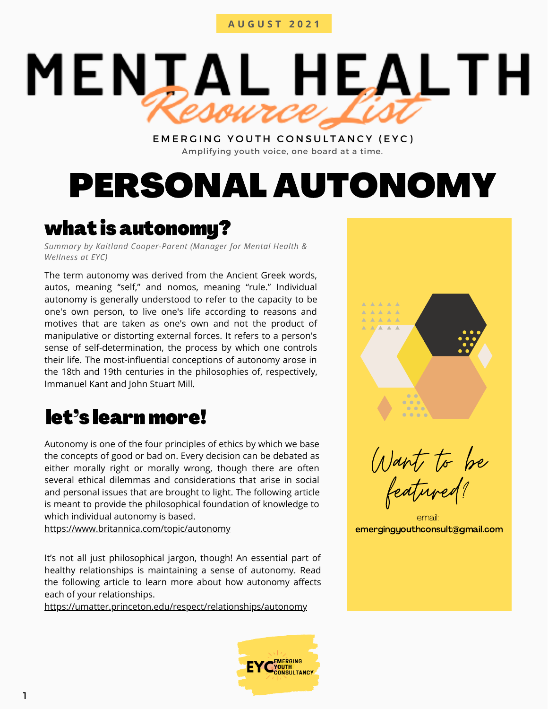# **A U G U S T 2 0 2 1**

# **MENIAL HEALTH**

# EMERGING YOUTH CONSULTANCY (EYC) Amplifying youth voice, one board at a time.

# PERSONAL AUTONOMY

# what is autonomy?

*Summary by Kaitland Cooper-Parent (Manager for Mental Health & Wellness at EYC)*

The term autonomy was derived from the Ancient Greek words, autos, meaning "self," and nomos, meaning "rule." Individual autonomy is generally understood to refer to the capacity to be one's own person, to live one's life according to reasons and motives that are taken as one's own and not the product of manipulative or distorting external forces. It refers to a person's sense of self-determination, the process by which one controls their life. The most-influential conceptions of autonomy arose in the 18th and 19th centuries in the philosophies of, respectively, Immanuel Kant and John Stuart Mill.

# let's learn more!

Autonomy is one of the four principles of ethics by which we base the concepts of good or bad on. Every decision can be debated as either morally right or morally wrong, though there are often several ethical dilemmas and considerations that arise in social and personal issues that are brought to light. The following article is meant to provide the philosophical foundation of knowledge to which individual autonomy is based.

<https://www.britannica.com/topic/autonomy>

It's not all just philosophical jargon, though! An essential part of healthy relationships is maintaining a sense of autonomy. Read the following article to learn more about how autonomy affects each of your relationships.

<https://umatter.princeton.edu/respect/relationships/autonomy>





Want to be featured?

email: emergingyouthconsult@gmail.com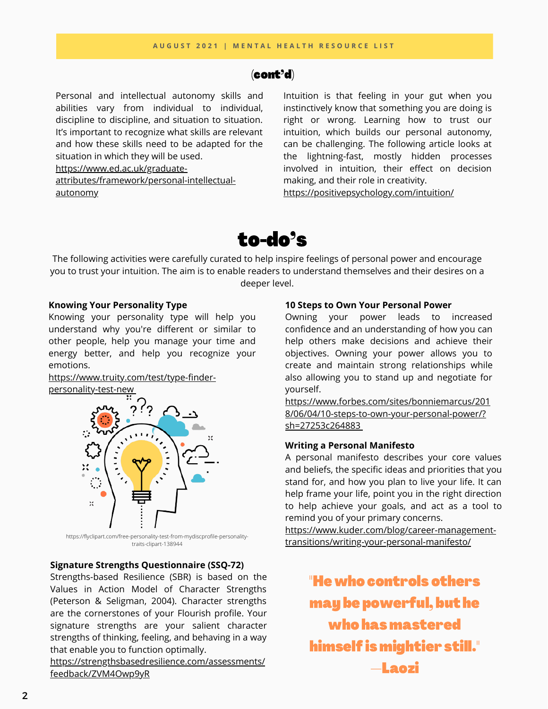# (cont'd)

Personal and intellectual autonomy skills and abilities vary from individual to individual, discipline to discipline, and situation to situation. It's important to recognize what skills are relevant and how these skills need to be adapted for the situation in which they will be used.

https://www.ed.ac.uk/graduate-

[attributes/framework/personal-intellectual](https://www.ed.ac.uk/graduate-attributes/framework/personal-intellectual-autonomy)autonomy

Intuition is that feeling in your gut when you instinctively know that something you are doing is right or wrong. Learning how to trust our intuition, which builds our personal autonomy, can be challenging. The following article looks at the lightning-fast, mostly hidden processes involved in intuition, their effect on decision making, and their role in creativity.

<https://positivepsychology.com/intuition/>

# to-do's

The following activities were carefully curated to help inspire feelings of personal power and encourage you to trust your intuition. The aim is to enable readers to understand themselves and their desires on a deeper level.

# **Knowing Your Personality Type**

Knowing your personality type will help you understand why you're different or similar to other people, help you manage your time and energy better, and help you recognize your emotions.

[https://www.truity.com/test/type-finder](https://www.truity.com/test/type-finder-personality-test-new)personality-test-new



https://flyclipart.com/free-personality-test-from-mydiscprofile-personalitytraits-clipart-138944

# **Signature Strengths Questionnaire (SSQ-72)**

Strengths-based Resilience (SBR) is based on the Values in Action Model of Character Strengths (Peterson & Seligman, 2004). Character strengths are the cornerstones of your Flourish profile. Your signature strengths are your salient character strengths of thinking, feeling, and behaving in a way that enable you to function optimally.

[https://strengthsbasedresilience.com/assessments/](https://strengthsbasedresilience.com/assessments/feedback/ZVM4Owp9yR) feedback/ZVM4Owp9yR

# **10 Steps to Own Your Personal Power**

Owning your power leads to increased confidence and an understanding of how you can help others make decisions and achieve their objectives. Owning your power allows you to create and maintain strong relationships while also allowing you to stand up and negotiate for yourself.

[https://www.forbes.com/sites/bonniemarcus/201](https://www.forbes.com/sites/bonniemarcus/2018/06/04/10-steps-to-own-your-personal-power/?sh=27253c264883) 8/06/04/10-steps-to-own-your-personal-power/? sh=27253c264883

# **Writing a Personal Manifesto**

A personal manifesto describes your core values and beliefs, the specific ideas and priorities that you stand for, and how you plan to live your life. It can help frame your life, point you in the right direction to help achieve your goals, and act as a tool to remind you of your primary concerns.

[https://www.kuder.com/blog/career-management](https://www.kuder.com/blog/career-management-transitions/writing-your-personal-manifesto/)transitions/writing-your-personal-manifesto/

> "He who controls others may be powerful, but he who has mastered himself is mightier still." —Laozi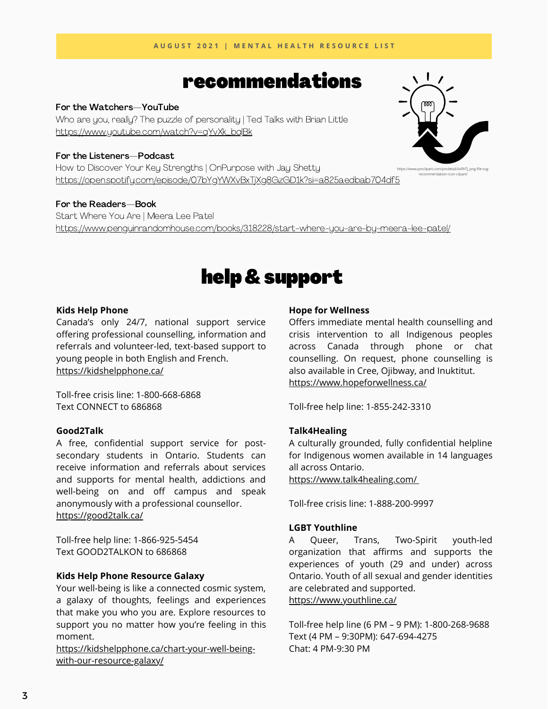# recommendations

### For the Watchers—YouTube

Who are you, really? The puzzle of personality | Ted Talks with Brian Little [https://www.youtube.com/watch?v=qYvXk\\_bqlBk](https://www.youtube.com/watch?v=qYvXk_bqlBk)

### For the Listeners—Podcast

How to Discover Your Key Strengths | OnPurpose with Jay Shetty <https://open.spotify.com/episode/07bYgYWXvBxTjXg8GzGD1k?si=a825aedbab704df5>

For the Readers—Book Start Where You Are | Meera Lee Patel <https://www.penguinrandomhouse.com/books/318228/start-where-you-are-by-meera-lee-patel/>

# help& support

### **Kids Help Phone**

Canada's only 24/7, national support service offering professional counselling, information and referrals and volunteer-led, text-based support to young people in both English and French. <https://kidshelpphone.ca/>

Toll-free crisis line: 1-800-668-6868 Text CONNECT to 686868

# **Good2Talk**

A free, confidential support service for postsecondary students in Ontario. Students can receive information and referrals about services and supports for mental health, addictions and well-being on and off campus and speak anonymously with a professional counsellor. <https://good2talk.ca/>

Toll-free help line: 1-866-925-5454 Text GOOD2TALKON to 686868

# **Kids Help Phone Resource Galaxy**

Your well-being is like a connected cosmic system, a galaxy of thoughts, feelings and experiences that make you who you are. Explore resources to support you no matter how you're feeling in this moment.

[https://kidshelpphone.ca/chart-your-well-being](https://kidshelpphone.ca/chart-your-well-being-with-our-resource-galaxy/)with-our-resource-galaxy/

### **Hope for Wellness**

Offers immediate mental health counselling and crisis intervention to all Indigenous peoples across Canada through phone or chat counselling. On request, phone counselling is also available in Cree, Ojibway, and Inuktitut. <https://www.hopeforwellness.ca/>

Toll-free help line: 1-855-242-3310

# **Talk4Healing**

A culturally grounded, fully confidential helpline for Indigenous women available in 14 languages all across Ontario.

<https://www.talk4healing.com/>

Toll-free crisis line: 1-888-200-9997

# **LGBT Youthline**

A Queer, Trans, Two-Spirit youth-led organization that affirms and supports the experiences of youth (29 and under) across Ontario. Youth of all sexual and gender identities are celebrated and supported. <https://www.youthline.ca/>

Toll-free help line (6 PM – 9 PM): 1-800-268-9688 Text (4 PM – 9:30PM): 647-694-4275 Chat: 4 PM-9:30 PM